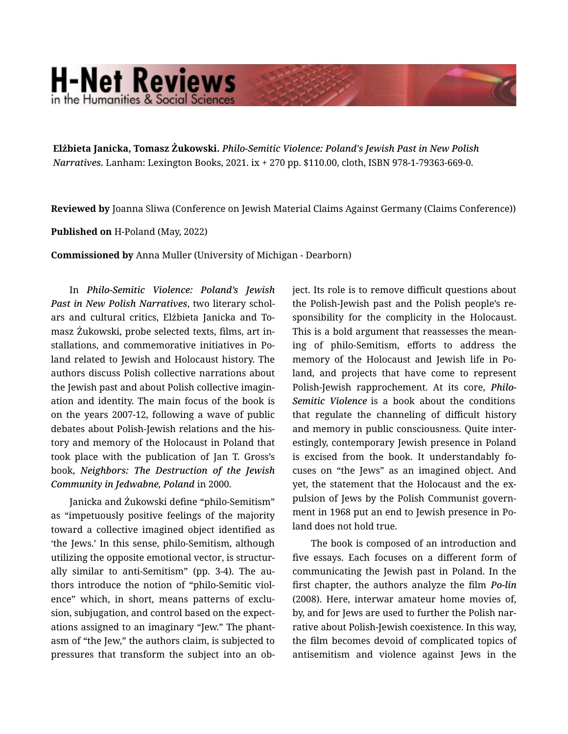## **H-Net Reviews** in the Humanities & Social Scienc

**Elżbieta Janicka, Tomasz Żukowski.** *Philo-Semitic Violence: Poland's Jewish Past in New Polish Narratives.* Lanham: Lexington Books, 2021. ix + 270 pp. \$110.00, cloth, ISBN 978-1-79363-669-0.

**Reviewed by** Joanna Sliwa (Conference on Jewish Material Claims Against Germany (Claims Conference))

**Published on** H-Poland (May, 2022)

**Commissioned by** Anna Muller (University of Michigan - Dearborn)

In *Philo-Semitic Violence: Poland's Jewish Past in New Polish Narratives*, two literary schol‐ ars and cultural critics, Elżbieta Janicka and To‐ masz Żukowski, probe selected texts, films, art in‐ stallations, and commemorative initiatives in Po‐ land related to Jewish and Holocaust history. The authors discuss Polish collective narrations about the Jewish past and about Polish collective imagin‐ ation and identity. The main focus of the book is on the years 2007-12, following a wave of public debates about Polish-Jewish relations and the his‐ tory and memory of the Holocaust in Poland that took place with the publication of Jan T. Gross's book, *Neighbors: The Destruction of the Jewish Community in Jedwabne, Poland* in 2000.

Janicka and Żukowski define "philo-Semitism" as "impetuously positive feelings of the majority toward a collective imagined object identified as 'the Jews.' In this sense, philo-Semitism, although utilizing the opposite emotional vector, is structur‐ ally similar to anti-Semitism" (pp. 3-4). The au‐ thors introduce the notion of "philo-Semitic viol‐ ence" which, in short, means patterns of exclusion, subjugation, and control based on the expect‐ ations assigned to an imaginary "Jew." The phant‐ asm of "the Jew," the authors claim, is subjected to pressures that transform the subject into an ob‐ ject. Its role is to remove difficult questions about the Polish-Jewish past and the Polish people's re‐ sponsibility for the complicity in the Holocaust. This is a bold argument that reassesses the mean‐ ing of philo-Semitism, efforts to address the memory of the Holocaust and Jewish life in Po‐ land, and projects that have come to represent Polish-Jewish rapprochement. At its core, *Philo-Semitic Violence* is a book about the conditions that regulate the channeling of difficult history and memory in public consciousness. Quite inter‐ estingly, contemporary Jewish presence in Poland is excised from the book. It understandably focuses on "the Jews" as an imagined object. And yet, the statement that the Holocaust and the expulsion of Jews by the Polish Communist govern‐ ment in 1968 put an end to Jewish presence in Po‐ land does not hold true.

The book is composed of an introduction and five essays. Each focuses on a different form of communicating the Jewish past in Poland. In the first chapter, the authors analyze the film *Po-lin* (2008). Here, interwar amateur home movies of, by, and for Jews are used to further the Polish nar‐ rative about Polish-Jewish coexistence. In this way, the film becomes devoid of complicated topics of antisemitism and violence against Jews in the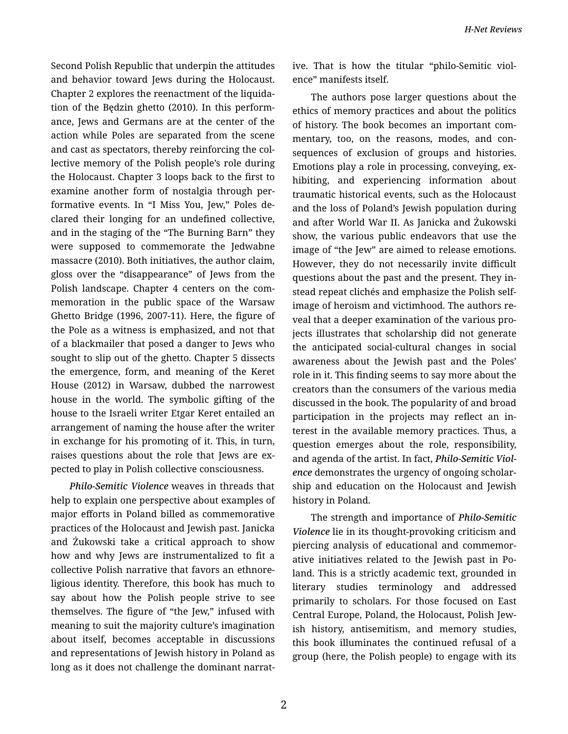Second Polish Republic that underpin the attitudes and behavior toward Jews during the Holocaust. Chapter 2 explores the reenactment of the liquida‐ tion of the Będzin ghetto (2010). In this perform‐ ance, Jews and Germans are at the center of the action while Poles are separated from the scene and cast as spectators, thereby reinforcing the col‐ lective memory of the Polish people's role during the Holocaust. Chapter 3 loops back to the first to examine another form of nostalgia through per‐ formative events. In "I Miss You, Jew," Poles de‐ clared their longing for an undefined collective, and in the staging of the "The Burning Barn" they were supposed to commemorate the Jedwabne massacre (2010). Both initiatives, the author claim, gloss over the "disappearance" of Jews from the Polish landscape. Chapter 4 centers on the com‐ memoration in the public space of the Warsaw Ghetto Bridge (1996, 2007-11). Here, the figure of the Pole as a witness is emphasized, and not that of a blackmailer that posed a danger to Jews who sought to slip out of the ghetto. Chapter 5 dissects the emergence, form, and meaning of the Keret House (2012) in Warsaw, dubbed the narrowest house in the world. The symbolic gifting of the house to the Israeli writer Etgar Keret entailed an arrangement of naming the house after the writer in exchange for his promoting of it. This, in turn, raises questions about the role that Jews are ex‐ pected to play in Polish collective consciousness.

*Philo-Semitic Violence* weaves in threads that help to explain one perspective about examples of major efforts in Poland billed as commemorative practices of the Holocaust and Jewish past. Janicka and Żukowski take a critical approach to show how and why Jews are instrumentalized to fit a collective Polish narrative that favors an ethnore‐ ligious identity. Therefore, this book has much to say about how the Polish people strive to see themselves. The figure of "the Jew," infused with meaning to suit the majority culture's imagination about itself, becomes acceptable in discussions and representations of Jewish history in Poland as long as it does not challenge the dominant narrat‐

ive. That is how the titular "philo-Semitic viol‐ ence" manifests itself.

The authors pose larger questions about the ethics of memory practices and about the politics of history. The book becomes an important com‐ mentary, too, on the reasons, modes, and con‐ sequences of exclusion of groups and histories. Emotions play a role in processing, conveying, ex‐ hibiting, and experiencing information about traumatic historical events, such as the Holocaust and the loss of Poland's Jewish population during and after World War II. As Janicka and Żukowski show, the various public endeavors that use the image of "the Jew" are aimed to release emotions. However, they do not necessarily invite difficult questions about the past and the present. They in‐ stead repeat clichés and emphasize the Polish selfimage of heroism and victimhood. The authors re‐ veal that a deeper examination of the various pro‐ jects illustrates that scholarship did not generate the anticipated social-cultural changes in social awareness about the Jewish past and the Poles' role in it. This finding seems to say more about the creators than the consumers of the various media discussed in the book. The popularity of and broad participation in the projects may reflect an in‐ terest in the available memory practices. Thus, a question emerges about the role, responsibility, and agenda of the artist. In fact, *Philo-Semitic Viol‐ ence* demonstrates the urgency of ongoing scholar‐ ship and education on the Holocaust and Jewish history in Poland.

The strength and importance of *Philo-Semitic Violence* lie in its thought-provoking criticism and piercing analysis of educational and commemor‐ ative initiatives related to the Jewish past in Po‐ land. This is a strictly academic text, grounded in literary studies terminology and addressed primarily to scholars. For those focused on East Central Europe, Poland, the Holocaust, Polish Jew‐ ish history, antisemitism, and memory studies, this book illuminates the continued refusal of a group (here, the Polish people) to engage with its